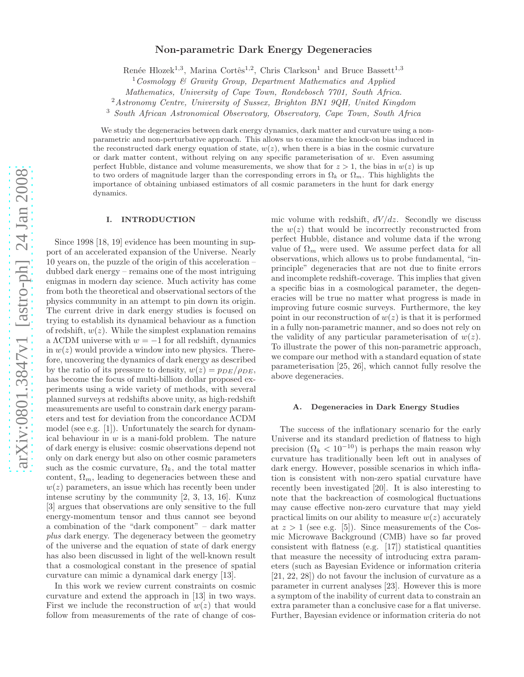# Non-parametric Dark Energy Degeneracies

Renée Hlozek<sup>1,3</sup>, Marina Cortês<sup>1,2</sup>, Chris Clarkson<sup>1</sup> and Bruce Bassett<sup>1,3</sup>

 $1$ Cosmology  $\mathcal B$  Gravity Group, Department Mathematics and Applied

Mathematics, University of Cape Town, Rondebosch 7701, South Africa.

<sup>2</sup>Astronomy Centre, University of Sussex, Brighton BN1 9QH, United Kingdom

<sup>3</sup> South African Astronomical Observatory, Observatory, Cape Town, South Africa

We study the degeneracies between dark energy dynamics, dark matter and curvature using a nonparametric and non-perturbative approach. This allows us to examine the knock-on bias induced in the reconstructed dark energy equation of state,  $w(z)$ , when there is a bias in the cosmic curvature or dark matter content, without relying on any specific parameterisation of  $w$ . Even assuming perfect Hubble, distance and volume measurements, we show that for  $z > 1$ , the bias in  $w(z)$  is up to two orders of magnitude larger than the corresponding errors in  $\Omega_k$  or  $\Omega_m$ . This highlights the importance of obtaining unbiased estimators of all cosmic parameters in the hunt for dark energy dynamics.

### I. INTRODUCTION

Since 1998 [18, 19] evidence has been mounting in support of an accelerated expansion of the Universe. Nearly 10 years on, the puzzle of the origin of this acceleration – dubbed dark energy – remains one of the most intriguing enigmas in modern day science. Much activity has come from both the theoretical and observational sectors of the physics community in an attempt to pin down its origin. The current drive in dark energy studies is focused on trying to establish its dynamical behaviour as a function of redshift,  $w(z)$ . While the simplest explanation remains a  $\Lambda$ CDM universe with  $w = -1$  for all redshift, dynamics in  $w(z)$  would provide a window into new physics. Therefore, uncovering the dynamics of dark energy as described by the ratio of its pressure to density,  $w(z) = p_{DE}/\rho_{DE}$ , has become the focus of multi-billion dollar proposed experiments using a wide variety of methods, with several planned surveys at redshifts above unity, as high-redshift measurements are useful to constrain dark energy parameters and test for deviation from the concordance ΛCDM model (see e.g. [1]). Unfortunately the search for dynamical behaviour in  $w$  is a mani-fold problem. The nature of dark energy is elusive: cosmic observations depend not only on dark energy but also on other cosmic parameters such as the cosmic curvature,  $\Omega_k$ , and the total matter content,  $\Omega_m$ , leading to degeneracies between these and  $w(z)$  parameters, an issue which has recently been under intense scrutiny by the community [2, 3, 13, 16]. Kunz [3] argues that observations are only sensitive to the full energy-momentum tensor and thus cannot see beyond a combination of the "dark component" – dark matter plus dark energy. The degeneracy between the geometry of the universe and the equation of state of dark energy has also been discussed in light of the well-known result that a cosmological constant in the presence of spatial curvature can mimic a dynamical dark energy [13].

In this work we review current constraints on cosmic curvature and extend the approach in [13] in two ways. First we include the reconstruction of  $w(z)$  that would follow from measurements of the rate of change of cosmic volume with redshift,  $dV/dz$ . Secondly we discuss the  $w(z)$  that would be incorrectly reconstructed from perfect Hubble, distance and volume data if the wrong value of  $\Omega_m$  were used. We assume perfect data for all observations, which allows us to probe fundamental, "inprinciple" degeneracies that are not due to finite errors and incomplete redshift-coverage. This implies that given a specific bias in a cosmological parameter, the degeneracies will be true no matter what progress is made in improving future cosmic surveys. Furthermore, the key point in our reconstruction of  $w(z)$  is that it is performed in a fully non-parametric manner, and so does not rely on the validity of any particular parameterisation of  $w(z)$ . To illustrate the power of this non-parametric approach, we compare our method with a standard equation of state parameterisation [25, 26], which cannot fully resolve the above degeneracies.

#### A. Degeneracies in Dark Energy Studies

The success of the inflationary scenario for the early Universe and its standard prediction of flatness to high precision  $(\Omega_k < 10^{-10})$  is perhaps the main reason why curvature has traditionally been left out in analyses of dark energy. However, possible scenarios in which inflation is consistent with non-zero spatial curvature have recently been investigated [20]. It is also interesting to note that the backreaction of cosmological fluctuations may cause effective non-zero curvature that may yield practical limits on our ability to measure  $w(z)$  accurately at  $z > 1$  (see e.g. [5]). Since measurements of the Cosmic Microwave Background (CMB) have so far proved consistent with flatness (e.g. [17]) statistical quantities that measure the necessity of introducing extra parameters (such as Bayesian Evidence or information criteria [21, 22, 28]) do not favour the inclusion of curvature as a parameter in current analyses [23]. However this is more a symptom of the inability of current data to constrain an extra parameter than a conclusive case for a flat universe. Further, Bayesian evidence or information criteria do not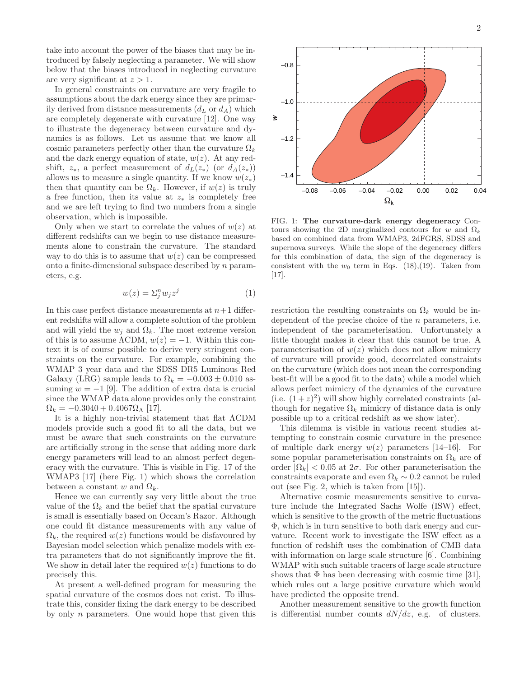take into account the power of the biases that may be introduced by falsely neglecting a parameter. We will show below that the biases introduced in neglecting curvature are very significant at  $z > 1$ .

In general constraints on curvature are very fragile to assumptions about the dark energy since they are primarily derived from distance measurements  $(d_L \text{ or } d_A)$  which are completely degenerate with curvature [12]. One way to illustrate the degeneracy between curvature and dynamics is as follows. Let us assume that we know all cosmic parameters perfectly other than the curvature  $\Omega_k$ and the dark energy equation of state,  $w(z)$ . At any redshift,  $z_*$ , a perfect measurement of  $d_L(z_*)$  (or  $d_A(z_*)$ ) allows us to measure a single quantity. If we know  $w(z_*)$ then that quantity can be  $\Omega_k$ . However, if  $w(z)$  is truly a free function, then its value at  $z_*$  is completely free and we are left trying to find two numbers from a single observation, which is impossible.

Only when we start to correlate the values of  $w(z)$  at different redshifts can we begin to use distance measurements alone to constrain the curvature. The standard way to do this is to assume that  $w(z)$  can be compressed onto a finite-dimensional subspace described by n parameters, e.g.

$$
w(z) = \sum_{j}^{n} w_j z^j \tag{1}
$$

In this case perfect distance measurements at  $n+1$  different redshifts will allow a complete solution of the problem and will yield the  $w_i$  and  $\Omega_k$ . The most extreme version of this is to assume  $\Lambda$ CDM,  $w(z) = -1$ . Within this context it is of course possible to derive very stringent constraints on the curvature. For example, combining the WMAP 3 year data and the SDSS DR5 Luminous Red Galaxy (LRG) sample leads to  $\Omega_k = -0.003 \pm 0.010$  assuming  $w = -1$  [9]. The addition of extra data is crucial since the WMAP data alone provides only the constraint  $\Omega_k = -0.3040 + 0.4067 \Omega_\Lambda$  [17].

It is a highly non-trivial statement that flat ΛCDM models provide such a good fit to all the data, but we must be aware that such constraints on the curvature are artificially strong in the sense that adding more dark energy parameters will lead to an almost perfect degeneracy with the curvature. This is visible in Fig. 17 of the WMAP3 [17] (here Fig. 1) which shows the correlation between a constant w and  $\Omega_k$ .

Hence we can currently say very little about the true value of the  $\Omega_k$  and the belief that the spatial curvature is small is essentially based on Occam's Razor. Although one could fit distance measurements with any value of  $\Omega_k$ , the required  $w(z)$  functions would be disfavoured by Bayesian model selection which penalize models with extra parameters that do not significantly improve the fit. We show in detail later the required  $w(z)$  functions to do precisely this.

At present a well-defined program for measuring the spatial curvature of the cosmos does not exist. To illustrate this, consider fixing the dark energy to be described by only n parameters. One would hope that given this



FIG. 1: The curvature-dark energy degeneracy Contours showing the 2D marginalized contours for w and  $\Omega_k$ based on combined data from WMAP3, 2dFGRS, SDSS and supernova surveys. While the slope of the degeneracy differs for this combination of data, the sign of the degeneracy is consistent with the  $w_0$  term in Eqs. (18),(19). Taken from [17].

restriction the resulting constraints on  $\Omega_k$  would be independent of the precise choice of the *n* parameters, i.e. independent of the parameterisation. Unfortunately a little thought makes it clear that this cannot be true. A parameterisation of  $w(z)$  which does not allow mimicry of curvature will provide good, decorrelated constraints on the curvature (which does not mean the corresponding best-fit will be a good fit to the data) while a model which allows perfect mimicry of the dynamics of the curvature (i.e.  $(1+z)^2$ ) will show highly correlated constraints (although for negative  $\Omega_k$  mimicry of distance data is only possible up to a critical redshift as we show later).

This dilemma is visible in various recent studies attempting to constrain cosmic curvature in the presence of multiple dark energy  $w(z)$  parameters [14–16]. For some popular parameterisation constraints on  $\Omega_k$  are of order  $|\Omega_k|$  < 0.05 at  $2\sigma$ . For other parameterisation the constraints evaporate and even  $\Omega_k \sim 0.2$  cannot be ruled out (see Fig. 2, which is taken from [15]).

Alternative cosmic measurements sensitive to curvature include the Integrated Sachs Wolfe (ISW) effect, which is sensitive to the growth of the metric fluctuations Φ, which is in turn sensitive to both dark energy and curvature. Recent work to investigate the ISW effect as a function of redshift uses the combination of CMB data with information on large scale structure [6]. Combining WMAP with such suitable tracers of large scale structure shows that  $\Phi$  has been decreasing with cosmic time [31], which rules out a large positive curvature which would have predicted the opposite trend.

Another measurement sensitive to the growth function is differential number counts  $dN/dz$ , e.g. of clusters.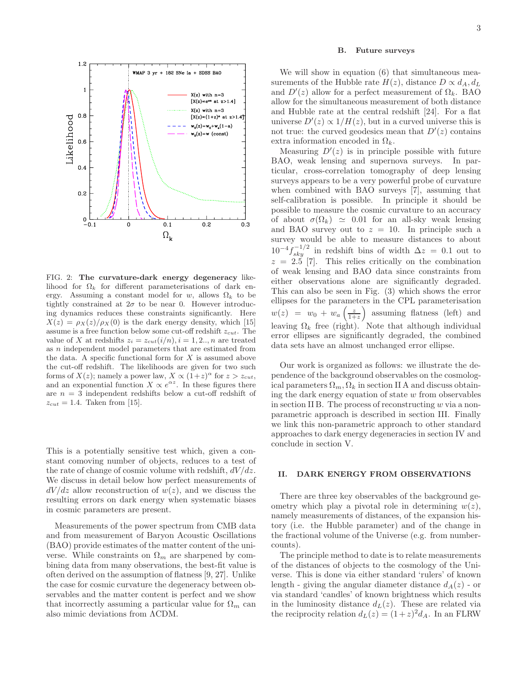

FIG. 2: The curvature-dark energy degeneracy likelihood for  $\Omega_k$  for different parameterisations of dark energy. Assuming a constant model for w, allows  $\Omega_k$  to be tightly constrained at  $2\sigma$  to be near 0. However introducing dynamics reduces these constraints significantly. Here  $X(z) = \rho_X(z)/\rho_X(0)$  is the dark energy density, which [15] assume is a free function below some cut-off redshift  $z_{cut}$ . The value of X at redshifts  $z_i = z_{cut}(i/n), i = 1, 2, ..., n$  are treated as n independent model parameters that are estimated from the data. A specific functional form for  $X$  is assumed above the cut-off redshift. The likelihoods are given for two such forms of  $X(z)$ ; namely a power law,  $X \propto (1+z)^{\alpha}$  for  $z > z_{cut}$ , and an exponential function  $X \propto e^{\alpha z}$ . In these figures there are  $n = 3$  independent redshifts below a cut-off redshift of  $z_{cut} = 1.4$ . Taken from [15].

This is a potentially sensitive test which, given a constant comoving number of objects, reduces to a test of the rate of change of cosmic volume with redshift,  $dV/dz$ . We discuss in detail below how perfect measurements of  $dV/dz$  allow reconstruction of  $w(z)$ , and we discuss the resulting errors on dark energy when systematic biases in cosmic parameters are present.

Measurements of the power spectrum from CMB data and from measurement of Baryon Acoustic Oscillations (BAO) provide estimates of the matter content of the universe. While constraints on  $\Omega_m$  are sharpened by combining data from many observations, the best-fit value is often derived on the assumption of flatness [9, 27]. Unlike the case for cosmic curvature the degeneracy between observables and the matter content is perfect and we show that incorrectly assuming a particular value for  $\Omega_m$  can also mimic deviations from ΛCDM.

#### B. Future surveys

We will show in equation  $(6)$  that simultaneous measurements of the Hubble rate  $H(z)$ , distance  $D \propto d_A, d_L$ and  $D'(z)$  allow for a perfect measurement of  $\Omega_k$ . BAO allow for the simultaneous measurement of both distance and Hubble rate at the central redshift [24]. For a flat universe  $D'(z) \propto 1/H(z)$ , but in a curved universe this is not true: the curved geodesics mean that  $D'(z)$  contains extra information encoded in  $\Omega_k$ .

Measuring  $D'(z)$  is in principle possible with future BAO, weak lensing and supernova surveys. In particular, cross-correlation tomography of deep lensing surveys appears to be a very powerful probe of curvature when combined with BAO surveys [7], assuming that self-calibration is possible. In principle it should be possible to measure the cosmic curvature to an accuracy of about  $\sigma(\Omega_k) \simeq 0.01$  for an all-sky weak lensing and BAO survey out to  $z = 10$ . In principle such a survey would be able to measure distances to about  $10^{-4} f_{sky}^{-1/2}$  in redshift bins of width  $\Delta z = 0.1$  out to  $z = 2.5$  [7]. This relies critically on the combination of weak lensing and BAO data since constraints from either observations alone are significantly degraded. This can also be seen in Fig. (3) which shows the error ellipses for the parameters in the CPL parameterisation  $w(z) = w_0 + w_a \left(\frac{z}{1+z}\right)$  assuming flatness (left) and leaving  $\Omega_k$  free (right). Note that although individual error ellipses are significantly degraded, the combined data sets have an almost unchanged error ellipse.

Our work is organized as follows: we illustrate the dependence of the background observables on the cosmological parameters  $\Omega_m, \Omega_k$  in section II A and discuss obtaining the dark energy equation of state  $w$  from observables in section II B. The process of reconstructing  $w$  via a nonparametric approach is described in section III. Finally we link this non-parametric approach to other standard approaches to dark energy degeneracies in section IV and conclude in section V.

## II. DARK ENERGY FROM OBSERVATIONS

There are three key observables of the background geometry which play a pivotal role in determining  $w(z)$ , namely measurements of distances, of the expansion history (i.e. the Hubble parameter) and of the change in the fractional volume of the Universe (e.g. from numbercounts).

The principle method to date is to relate measurements of the distances of objects to the cosmology of the Universe. This is done via either standard 'rulers' of known length - giving the angular diameter distance  $d_A(z)$  - or via standard 'candles' of known brightness which results in the luminosity distance  $d<sub>L</sub>(z)$ . These are related via the reciprocity relation  $d_L(z) = (1+z)^2 d_A$ . In an FLRW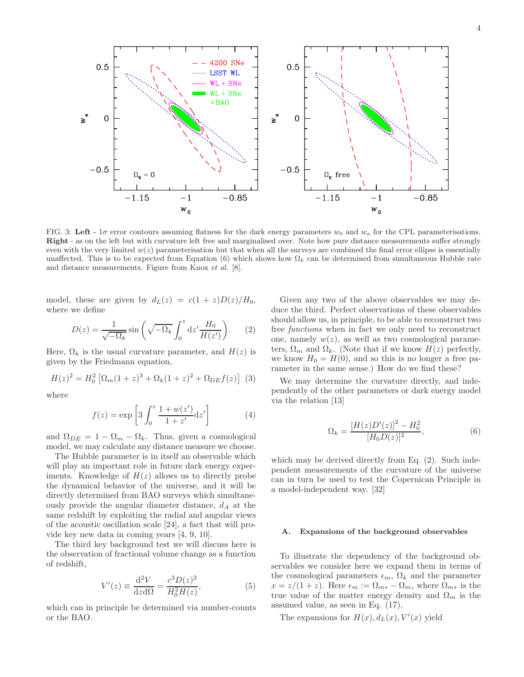4200 SNe  $0.5$  $0.5$ LSST WL  $W<sub>L</sub> + SNe$  $WL + SNe$  $+BAO$  $\varepsilon$  $\triangleright$ 0  $\overline{0}$  $-0.5$  $-0.5$  $\Omega_{\rm K}$  free  $-0.85$  $-1.15$ 1.15  $-1$  $-1$  $-0.85$  $W_0$  $W_{0}$ 

FIG. 3: Left -  $1\sigma$  error contours assuming flatness for the dark energy parameters  $w_0$  and  $w_a$  for the CPL parameterisations. Right - as on the left but with curvature left free and marginalised over. Note how pure distance measurements suffer strongly even with the very limited  $w(z)$  parameterisation but that when all the surveys are combined the final error ellipse is essentially unaffected. This is to be expected from Equation (6) which shows how  $\Omega_k$  can be determined from simultaneous Hubble rate and distance measurements. Figure from Knox et al. [8].

model, these are given by  $d_L(z) = c(1+z)D(z)/H_0$ , where we define

$$
D(z) = \frac{1}{\sqrt{-\Omega_k}} \sin\left(\sqrt{-\Omega_k} \int_0^z dz' \frac{H_0}{H(z')}\right).
$$
 (2)

Here,  $\Omega_k$  is the usual curvature parameter, and  $H(z)$  is given by the Friedmann equation,

$$
H(z)^{2} = H_0^{2} \left[ \Omega_{m} (1+z)^{3} + \Omega_{k} (1+z)^{2} + \Omega_{\text{DE}} f(z) \right] (3)
$$

where

$$
f(z) = \exp\left[3\int_0^z \frac{1+w(z')}{1+z'}dz'\right]
$$
 (4)

and  $\Omega_{DE} = 1 - \Omega_m - \Omega_k$ . Thus, given a cosmological model, we may calculate any distance measure we choose.

The Hubble parameter is in itself an observable which will play an important role in future dark energy experiments. Knowledge of  $H(z)$  allows us to directly probe the dynamical behavior of the universe, and it will be directly determined from BAO surveys which simultaneously provide the angular diameter distance,  $d_A$  at the same redshift by exploiting the radial and angular views of the acoustic oscillation scale [24], a fact that will provide key new data in coming years [4, 9, 10].

The third key background test we will discuss here is the observation of fractional volume change as a function of redshift,

$$
V'(z) \equiv \frac{\mathrm{d}^2 V}{\mathrm{d}z \mathrm{d}\Omega} = \frac{c^3 D(z)^2}{H_0^2 H(z)},\tag{5}
$$

which can in principle be determined via number-counts or the BAO.

Given any two of the above observables we may deduce the third. Perfect observations of these observables should allow us, in principle, to be able to reconstruct two free functions when in fact we only need to reconstruct one, namely  $w(z)$ , as well as two cosmological parameters,  $\Omega_m$  and  $\Omega_k$ . (Note that if we know  $H(z)$  perfectly, we know  $H_0 = H(0)$ , and so this is no longer a free parameter in the same sense.) How do we find these?

We may determine the curvature directly, and independently of the other parameters or dark energy model via the relation [13]

$$
\Omega_k = \frac{\left[H(z)D'(z)\right]^2 - H_0^2}{[H_0 D(z)]^2},\tag{6}
$$

which may be derived directly from Eq.  $(2)$ . Such independent measurements of the curvature of the universe can in turn be used to test the Copernican Principle in a model-independent way. [32]

### A. Expansions of the background observables

To illustrate the dependency of the background observables we consider here we expand them in terms of the cosmological parameters  $\epsilon_m$ ,  $\Omega_k$  and the parameter  $x = z/(1+z)$ . Here  $\epsilon_m := \Omega_{m*} - \Omega_m$ , where  $\Omega_{m*}$  is the true value of the matter energy density and  $\Omega_m$  is the assumed value, as seen in Eq. (17).

The expansions for  $H(x)$ ,  $d_L(x)$ ,  $V'(x)$  yield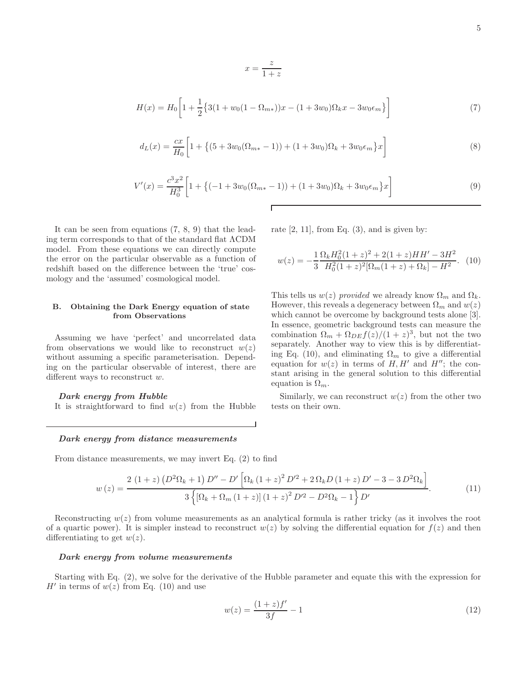$$
H(x) = H_0 \left[ 1 + \frac{1}{2} \{ 3(1 + w_0(1 - \Omega_{m*}))x - (1 + 3w_0)\Omega_k x - 3w_0 \epsilon_m \} \right]
$$
(7)

$$
d_L(x) = \frac{cx}{H_0} \left[ 1 + \left\{ (5 + 3w_0(\Omega_{m*} - 1)) + (1 + 3w_0)\Omega_k + 3w_0\epsilon_m \right\} x \right] \tag{8}
$$

$$
V'(x) = \frac{c^3 x^2}{H_0^3} \left[ 1 + \left\{ (-1 + 3w_0(\Omega_{m*} - 1)) + (1 + 3w_0)\Omega_k + 3w_0 \epsilon_m \right\} x \right]
$$
(9)

It can be seen from equations (7, 8, 9) that the leading term corresponds to that of the standard flat ΛCDM model. From these equations we can directly compute the error on the particular observable as a function of redshift based on the difference between the 'true' cosmology and the 'assumed' cosmological model.

# B. Obtaining the Dark Energy equation of state from Observations

Assuming we have 'perfect' and uncorrelated data from observations we would like to reconstruct  $w(z)$ without assuming a specific parameterisation. Depending on the particular observable of interest, there are different ways to reconstruct w.

#### Dark energy from Hubble

It is straightforward to find  $w(z)$  from the Hubble

Dark energy from distance measurements

From distance measurements, we may invert Eq. (2) to find

$$
w(z) = \frac{2 (1+z) (D^{2} \Omega_{k} + 1) D'' - D' \left[ \Omega_{k} (1+z)^{2} D'^{2} + 2 \Omega_{k} D (1+z) D' - 3 - 3 D^{2} \Omega_{k} \right]}{3 \left\{ \left[ \Omega_{k} + \Omega_{m} (1+z) \right] (1+z)^{2} D'^{2} - D^{2} \Omega_{k} - 1 \right\} D'}
$$
\n(11)

Reconstructing  $w(z)$  from volume measurements as an analytical formula is rather tricky (as it involves the root of a quartic power). It is simpler instead to reconstruct  $w(z)$  by solving the differential equation for  $f(z)$  and then differentiating to get  $w(z)$ .

#### Dark energy from volume measurements

Starting with Eq. (2), we solve for the derivative of the Hubble parameter and equate this with the expression for H' in terms of  $w(z)$  from Eq. (10) and use

$$
w(z) = \frac{(1+z)f'}{3f} - 1\tag{12}
$$

rate  $[2, 11]$ , from Eq.  $(3)$ , and is given by:

$$
w(z) = -\frac{1}{3} \frac{\Omega_k H_0^2 (1+z)^2 + 2(1+z)HH' - 3H^2}{H_0^2 (1+z)^2 [\Omega_m (1+z) + \Omega_k] - H^2}.
$$
 (10)

This tells us  $w(z)$  provided we already know  $\Omega_m$  and  $\Omega_k$ . However, this reveals a degeneracy between  $\Omega_m$  and  $w(z)$ which cannot be overcome by background tests alone [3]. In essence, geometric background tests can measure the combination  $\Omega_m + \Omega_{DE} f(z)/(1+z)^3$ , but not the two separately. Another way to view this is by differentiating Eq. (10), and eliminating  $\Omega_m$  to give a differential equation for  $w(z)$  in terms of H, H' and H''; the constant arising in the general solution to this differential equation is  $\Omega_m$ .

Similarly, we can reconstruct  $w(z)$  from the other two tests on their own.

$$
x = \frac{z}{1+z}
$$

Г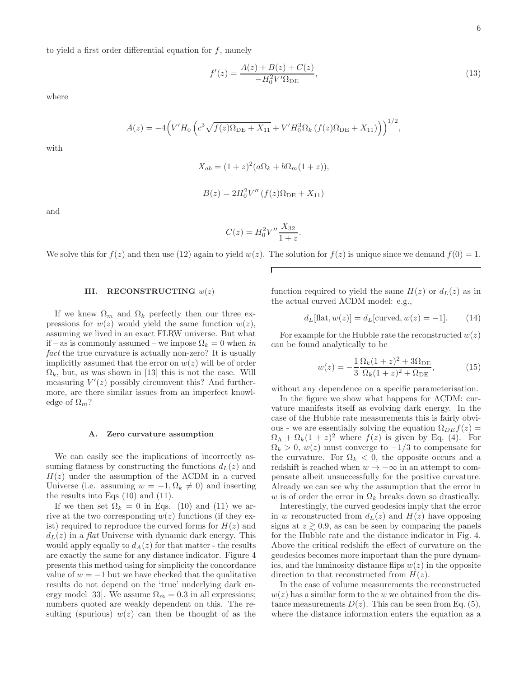to yield a first order differential equation for  $f$ , namely

$$
f'(z) = \frac{A(z) + B(z) + C(z)}{-H_0^2 V' \Omega_{\text{DE}}},
$$
\n(13)

where

$$
A(z) = -4\Big(V'H_0\left(c^3\sqrt{f(z)\Omega_{\rm DE} + X_{11}} + V'H_0^3\Omega_k\left(f(z)\Omega_{\rm DE} + X_{11}\right)\right)\Big)^{1/2}
$$

 $X_{ab} = (1+z)^2 (a\Omega_k + b\Omega_m(1+z)),$ 

 $B(z) = 2H_0^2 V''(f(z)\Omega_{\rm DE} + X_{11})$ 

with

and

$$
C(z) = H_0^2 V'' \frac{X_{32}}{1+z}.
$$

We solve this for  $f(z)$  and then use (12) again to yield  $w(z)$ . The solution for  $f(z)$  is unique since we demand  $f(0) = 1$ .

 $\Gamma$ 

# III. RECONSTRUCTING  $w(z)$

If we knew  $\Omega_m$  and  $\Omega_k$  perfectly then our three expressions for  $w(z)$  would yield the same function  $w(z)$ , assuming we lived in an exact FLRW universe. But what if – as is commonly assumed – we impose  $\Omega_k = 0$  when in fact the true curvature is actually non-zero? It is usually implicitly assumed that the error on  $w(z)$  will be of order  $\Omega_k$ , but, as was shown in [13] this is not the case. Will measuring  $V'(z)$  possibly circumvent this? And furthermore, are there similar issues from an imperfect knowledge of  $\Omega_m$ ?

#### A. Zero curvature assumption

We can easily see the implications of incorrectly assuming flatness by constructing the functions  $d_L(z)$  and  $H(z)$  under the assumption of the  $\Lambda$ CDM in a curved Universe (i.e. assuming  $w = -1$ ,  $\Omega_k \neq 0$ ) and inserting the results into Eqs (10) and (11).

If we then set  $\Omega_k = 0$  in Eqs. (10) and (11) we arrive at the two corresponding  $w(z)$  functions (if they exist) required to reproduce the curved forms for  $H(z)$  and  $d_L(z)$  in a flat Universe with dynamic dark energy. This would apply equally to  $d_A(z)$  for that matter - the results are exactly the same for any distance indicator. Figure 4 presents this method using for simplicity the concordance value of  $w = -1$  but we have checked that the qualitative results do not depend on the 'true' underlying dark energy model [33]. We assume  $\Omega_m = 0.3$  in all expressions; numbers quoted are weakly dependent on this. The resulting (spurious)  $w(z)$  can then be thought of as the

function required to yield the same  $H(z)$  or  $d<sub>L</sub>(z)$  as in the actual curved ΛCDM model: e.g.,

$$
d_L[\text{flat}, w(z)] = d_L[\text{curved}, w(z) = -1]. \tag{14}
$$

,

For example for the Hubble rate the reconstructed  $w(z)$ can be found analytically to be

$$
w(z) = -\frac{1}{3} \frac{\Omega_k (1+z)^2 + 3\Omega_{\text{DE}}}{\Omega_k (1+z)^2 + \Omega_{\text{DE}}},
$$
(15)

without any dependence on a specific parameterisation.

In the figure we show what happens for ΛCDM: curvature manifests itself as evolving dark energy. In the case of the Hubble rate measurements this is fairly obvious - we are essentially solving the equation  $\Omega_{DE} f(z) =$  $\Omega_{\Lambda} + \Omega_k (1+z)^2$  where  $f(z)$  is given by Eq. (4). For  $\Omega_k > 0$ ,  $w(z)$  must converge to  $-1/3$  to compensate for the curvature. For  $\Omega_k < 0$ , the opposite occurs and a redshift is reached when  $w \to -\infty$  in an attempt to compensate albeit unsuccessfully for the positive curvature. Already we can see why the assumption that the error in w is of order the error in  $\Omega_k$  breaks down so drastically.

Interestingly, the curved geodesics imply that the error in w reconstructed from  $d<sub>L</sub>(z)$  and  $H(z)$  have opposing signs at  $z \gtrsim 0.9$ , as can be seen by comparing the panels for the Hubble rate and the distance indicator in Fig. 4. Above the critical redshift the effect of curvature on the geodesics becomes more important than the pure dynamics, and the luminosity distance flips  $w(z)$  in the opposite direction to that reconstructed from  $H(z)$ .

In the case of volume measurements the reconstructed  $w(z)$  has a similar form to the w we obtained from the distance measurements  $D(z)$ . This can be seen from Eq. (5), where the distance information enters the equation as a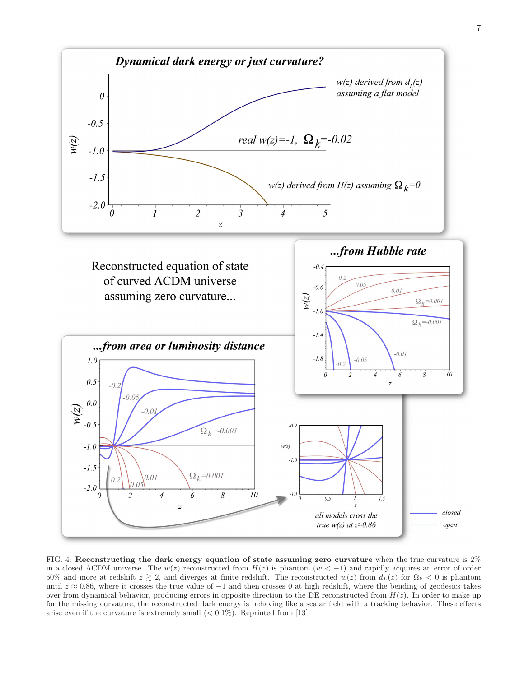

FIG. 4: Reconstructing the dark energy equation of state assuming zero curvature when the true curvature is 2% in a closed ΛCDM universe. The  $w(z)$  reconstructed from  $H(z)$  is phantom  $(w < -1)$  and rapidly acquires an error of order 50% and more at redshift  $z \geq 2$ , and diverges at finite redshift. The reconstructed  $w(z)$  from  $d_L(z)$  for  $\Omega_k < 0$  is phantom until  $z \approx 0.86$ , where it crosses the true value of  $-1$  and then crosses 0 at high redshift, where the bending of geodesics takes over from dynamical behavior, producing errors in opposite direction to the DE reconstructed from  $H(z)$ . In order to make up for the missing curvature, the reconstructed dark energy is behaving like a scalar field with a tracking behavior. These effects arise even if the curvature is extremely small  $( $0.1\%$ ). Reprinted from [13].$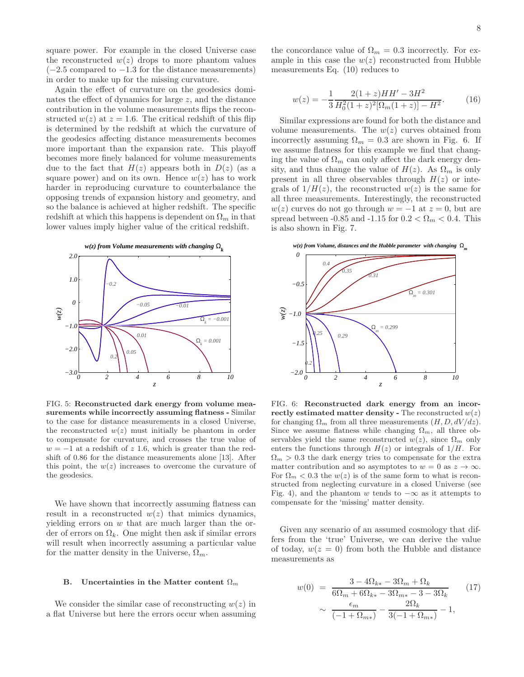square power. For example in the closed Universe case the reconstructed  $w(z)$  drops to more phantom values  $(-2.5 \text{ compared to } -1.3 \text{ for the distance measurements})$ in order to make up for the missing curvature.

Again the effect of curvature on the geodesics dominates the effect of dynamics for large z, and the distance contribution in the volume measurements flips the reconstructed  $w(z)$  at  $z = 1.6$ . The critical redshift of this flip is determined by the redshift at which the curvature of the geodesics affecting distance measurements becomes more important than the expansion rate. This playoff becomes more finely balanced for volume measurements due to the fact that  $H(z)$  appears both in  $D(z)$  (as a square power) and on its own. Hence  $w(z)$  has to work harder in reproducing curvature to counterbalance the opposing trends of expansion history and geometry, and so the balance is achieved at higher redshift. The specific redshift at which this happens is dependent on  $\Omega_m$  in that lower values imply higher value of the critical redshift.



FIG. 5: Reconstructed dark energy from volume measurements while incorrectly assuming flatness - Similar to the case for distance measurements in a closed Universe, the reconstructed  $w(z)$  must initially be phantom in order to compensate for curvature, and crosses the true value of  $w = -1$  at a redshift of z 1.6, which is greater than the redshift of 0.86 for the distance measurements alone [13]. After this point, the  $w(z)$  increases to overcome the curvature of the geodesics.

We have shown that incorrectly assuming flatness can result in a reconstructed  $w(z)$  that mimics dynamics, yielding errors on  $w$  that are much larger than the order of errors on  $\Omega_k$ . One might then ask if similar errors will result when incorrectly assuming a particular value for the matter density in the Universe,  $\Omega_m$ .

#### B. Uncertainties in the Matter content  $\Omega_m$

We consider the similar case of reconstructing  $w(z)$  in a flat Universe but here the errors occur when assuming the concordance value of  $\Omega_m = 0.3$  incorrectly. For example in this case the  $w(z)$  reconstructed from Hubble measurements Eq. (10) reduces to

$$
w(z) = -\frac{1}{3} \frac{2(1+z)HH' - 3H^2}{H_0^2(1+z)^2[\Omega_m(1+z)] - H^2}.
$$
 (16)

Similar expressions are found for both the distance and volume measurements. The  $w(z)$  curves obtained from incorrectly assuming  $\Omega_m = 0.3$  are shown in Fig. 6. If we assume flatness for this example we find that changing the value of  $\Omega_m$  can only affect the dark energy density, and thus change the value of  $H(z)$ . As  $\Omega_m$  is only present in all three observables through  $H(z)$  or integrals of  $1/H(z)$ , the reconstructed  $w(z)$  is the same for all three measurements. Interestingly, the reconstructed  $w(z)$  curves do not go through  $w = -1$  at  $z = 0$ , but are spread between -0.85 and -1.15 for  $0.2 < \Omega_m < 0.4$ . This is also shown in Fig. 7.





FIG. 6: Reconstructed dark energy from an incorrectly estimated matter density - The reconstructed  $w(z)$ for changing  $\Omega_m$  from all three measurements  $(H, D, dV/dz)$ . Since we assume flatness while changing  $\Omega_m$ , all three observables yield the same reconstructed  $w(z)$ , since  $\Omega_m$  only enters the functions through  $H(z)$  or integrals of  $1/H$ . For  $\Omega_m > 0.3$  the dark energy tries to compensate for the extra matter contribution and so asymptotes to  $w = 0$  as  $z \to \infty$ . For  $\Omega_m < 0.3$  the  $w(z)$  is of the same form to what is reconstructed from neglecting curvature in a closed Universe (see Fig. 4), and the phantom w tends to  $-\infty$  as it attempts to compensate for the 'missing' matter density.

Given any scenario of an assumed cosmology that differs from the 'true' Universe, we can derive the value of today,  $w(z = 0)$  from both the Hubble and distance measurements as

$$
w(0) = \frac{3 - 4\Omega_{k*} - 3\Omega_m + \Omega_k}{6\Omega_m + 6\Omega_{k*} - 3\Omega_{m*} - 3 - 3\Omega_k}
$$
 (17)  

$$
\sim \frac{\epsilon_m}{(-1 + \Omega_{m*})} - \frac{2\Omega_k}{3(-1 + \Omega_{m*})} - 1,
$$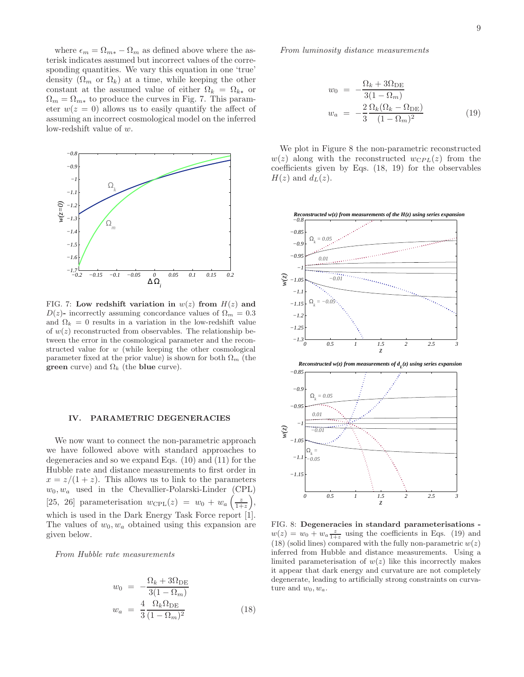where  $\epsilon_m = \Omega_{m*} - \Omega_m$  as defined above where the asterisk indicates assumed but incorrect values of the corresponding quantities. We vary this equation in one 'true' density  $(\Omega_m$  or  $\Omega_k)$  at a time, while keeping the other constant at the assumed value of either  $\Omega_k = \Omega_{k*}$  or  $\Omega_m = \Omega_{m*}$  to produce the curves in Fig. 7. This parameter  $w(z = 0)$  allows us to easily quantify the affect of assuming an incorrect cosmological model on the inferred low-redshift value of w.



FIG. 7: Low redshift variation in  $w(z)$  from  $H(z)$  and  $D(z)$ - incorrectly assuming concordance values of  $\Omega_m = 0.3$ and  $\Omega_k = 0$  results in a variation in the low-redshift value of  $w(z)$  reconstructed from observables. The relationship between the error in the cosmological parameter and the reconstructed value for w (while keeping the other cosmological parameter fixed at the prior value) is shown for both  $\Omega_m$  (the green curve) and  $\Omega_k$  (the blue curve).

## IV. PARAMETRIC DEGENERACIES

We now want to connect the non-parametric approach we have followed above with standard approaches to degeneracies and so we expand Eqs. (10) and (11) for the Hubble rate and distance measurements to first order in  $x = z/(1 + z)$ . This allows us to link to the parameters  $w_0, w_a$  used in the Chevallier-Polarski-Linder (CPL) [25, 26] parameterisation  $w_{\text{CPL}}(z) = w_0 + w_a \left(\frac{z}{1+z}\right)$ , which is used in the Dark Energy Task Force report [1]. The values of  $w_0, w_a$  obtained using this expansion are given below.

From Hubble rate measurements

$$
w_0 = -\frac{\Omega_k + 3\Omega_{\text{DE}}}{3(1 - \Omega_m)}
$$
  

$$
w_a = \frac{4}{3} \frac{\Omega_k \Omega_{\text{DE}}}{(1 - \Omega_m)^2}
$$
 (18)

$$
w_0 = -\frac{\Omega_k + 3\Omega_{\text{DE}}}{3(1 - \Omega_m)}
$$
  

$$
w_a = -\frac{2}{3} \frac{\Omega_k (\Omega_k - \Omega_{\text{DE}})}{(1 - \Omega_m)^2}
$$
 (19)

We plot in Figure 8 the non-parametric reconstructed  $w(z)$  along with the reconstructed  $w_{\text{CPL}}(z)$  from the coefficients given by Eqs. (18, 19) for the observables  $H(z)$  and  $d<sub>L</sub>(z)$ .



FIG. 8: Degeneracies in standard parameterisations  $w(z) = w_0 + w_a \frac{z}{1+z}$  using the coefficients in Eqs. (19) and (18) (solid lines) compared with the fully non-parametric  $w(z)$ inferred from Hubble and distance measurements. Using a limited parameterisation of  $w(z)$  like this incorrectly makes it appear that dark energy and curvature are not completely degenerate, leading to artificially strong constraints on curvature and  $w_0, w_a$ .